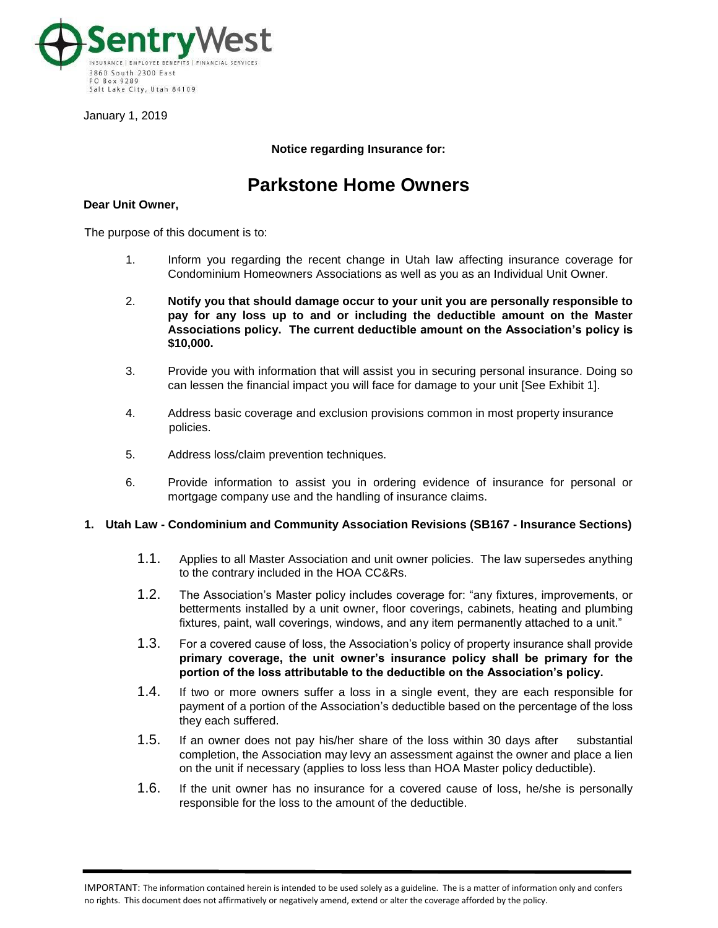

January 1, 2019

# **Notice regarding Insurance for:**

# **Parkstone Home Owners**

#### **Dear Unit Owner,**

The purpose of this document is to:

- 1. Inform you regarding the recent change in Utah law affecting insurance coverage for Condominium Homeowners Associations as well as you as an Individual Unit Owner.
- 2. **Notify you that should damage occur to your unit you are personally responsible to pay for any loss up to and or including the deductible amount on the Master Associations policy. The current deductible amount on the Association's policy is \$10,000.**
- 3. Provide you with information that will assist you in securing personal insurance. Doing so can lessen the financial impact you will face for damage to your unit [See Exhibit 1].
- 4. Address basic coverage and exclusion provisions common in most property insurance policies.
- 5. Address loss/claim prevention techniques.
- 6. Provide information to assist you in ordering evidence of insurance for personal or mortgage company use and the handling of insurance claims.

#### **1. Utah Law - Condominium and Community Association Revisions (SB167 - Insurance Sections)**

- 1.1. Applies to all Master Association and unit owner policies. The law supersedes anything to the contrary included in the HOA CC&Rs.
- 1.2. The Association's Master policy includes coverage for: "any fixtures, improvements, or betterments installed by a unit owner, floor coverings, cabinets, heating and plumbing fixtures, paint, wall coverings, windows, and any item permanently attached to a unit."
- 1.3. For a covered cause of loss, the Association's policy of property insurance shall provide **primary coverage, the unit owner's insurance policy shall be primary for the portion of the loss attributable to the deductible on the Association's policy.**
- 1.4. If two or more owners suffer a loss in a single event, they are each responsible for payment of a portion of the Association's deductible based on the percentage of the loss they each suffered.
- 1.5. If an owner does not pay his/her share of the loss within 30 days after substantial completion, the Association may levy an assessment against the owner and place a lien on the unit if necessary (applies to loss less than HOA Master policy deductible).
- 1.6. If the unit owner has no insurance for a covered cause of loss, he/she is personally responsible for the loss to the amount of the deductible.

IMPORTANT: The information contained herein is intended to be used solely as a guideline. The is a matter of information only and confers no rights. This document does not affirmatively or negatively amend, extend or alter the coverage afforded by the policy.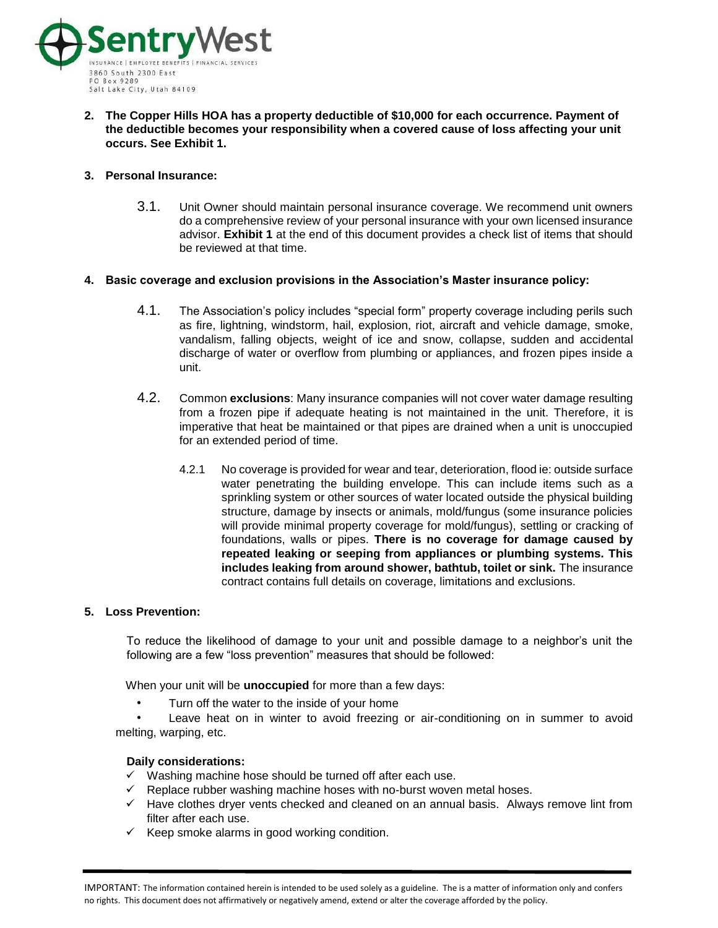

**2. The Copper Hills HOA has a property deductible of \$10,000 for each occurrence. Payment of the deductible becomes your responsibility when a covered cause of loss affecting your unit occurs. See Exhibit 1.** 

## **3. Personal Insurance:**

3.1. Unit Owner should maintain personal insurance coverage. We recommend unit owners do a comprehensive review of your personal insurance with your own licensed insurance advisor. **Exhibit 1** at the end of this document provides a check list of items that should be reviewed at that time.

## **4. Basic coverage and exclusion provisions in the Association's Master insurance policy:**

- 4.1. The Association's policy includes "special form" property coverage including perils such as fire, lightning, windstorm, hail, explosion, riot, aircraft and vehicle damage, smoke, vandalism, falling objects, weight of ice and snow, collapse, sudden and accidental discharge of water or overflow from plumbing or appliances, and frozen pipes inside a unit.
- 4.2. Common **exclusions**: Many insurance companies will not cover water damage resulting from a frozen pipe if adequate heating is not maintained in the unit. Therefore, it is imperative that heat be maintained or that pipes are drained when a unit is unoccupied for an extended period of time.
	- 4.2.1 No coverage is provided for wear and tear, deterioration, flood ie: outside surface water penetrating the building envelope. This can include items such as a sprinkling system or other sources of water located outside the physical building structure, damage by insects or animals, mold/fungus (some insurance policies will provide minimal property coverage for mold/fungus), settling or cracking of foundations, walls or pipes. **There is no coverage for damage caused by repeated leaking or seeping from appliances or plumbing systems. This includes leaking from around shower, bathtub, toilet or sink.** The insurance contract contains full details on coverage, limitations and exclusions.

## **5. Loss Prevention:**

To reduce the likelihood of damage to your unit and possible damage to a neighbor's unit the following are a few "loss prevention" measures that should be followed:

When your unit will be **unoccupied** for more than a few days:

Turn off the water to the inside of your home

Leave heat on in winter to avoid freezing or air-conditioning on in summer to avoid melting, warping, etc.

#### **Daily considerations:**

- ✓ Washing machine hose should be turned off after each use.
- $\checkmark$  Replace rubber washing machine hoses with no-burst woven metal hoses.
- ✓ Have clothes dryer vents checked and cleaned on an annual basis. Always remove lint from filter after each use.
- $\checkmark$  Keep smoke alarms in good working condition.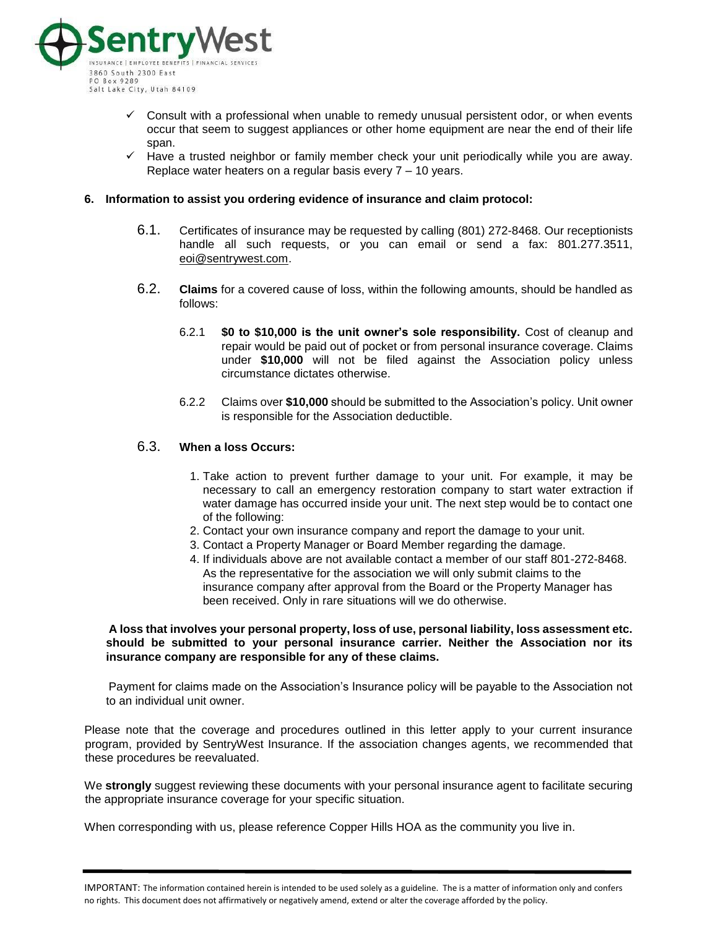

- $\checkmark$  Consult with a professional when unable to remedy unusual persistent odor, or when events occur that seem to suggest appliances or other home equipment are near the end of their life span.
- $\checkmark$  Have a trusted neighbor or family member check your unit periodically while you are away. Replace water heaters on a regular basis every 7 – 10 years.

#### **6. Information to assist you ordering evidence of insurance and claim protocol:**

- 6.1. Certificates of insurance may be requested by calling (801) 272-8468. Our receptionists handle all such requests, or you can email or send a fax: 801.277.3511, eoi@sentrywest.com.
- 6.2. **Claims** for a covered cause of loss, within the following amounts, should be handled as follows:
	- 6.2.1 **\$0 to \$10,000 is the unit owner's sole responsibility.** Cost of cleanup and repair would be paid out of pocket or from personal insurance coverage. Claims under **\$10,000** will not be filed against the Association policy unless circumstance dictates otherwise.
	- 6.2.2 Claims over **\$10,000** should be submitted to the Association's policy. Unit owner is responsible for the Association deductible.

## 6.3. **When a loss Occurs:**

- 1. Take action to prevent further damage to your unit. For example, it may be necessary to call an emergency restoration company to start water extraction if water damage has occurred inside your unit. The next step would be to contact one of the following:
- 2. Contact your own insurance company and report the damage to your unit.
- 3. Contact a Property Manager or Board Member regarding the damage.
- 4. If individuals above are not available contact a member of our staff 801-272-8468. As the representative for the association we will only submit claims to the insurance company after approval from the Board or the Property Manager has been received. Only in rare situations will we do otherwise.

**A loss that involves your personal property, loss of use, personal liability, loss assessment etc. should be submitted to your personal insurance carrier. Neither the Association nor its insurance company are responsible for any of these claims.** 

Payment for claims made on the Association's Insurance policy will be payable to the Association not to an individual unit owner.

Please note that the coverage and procedures outlined in this letter apply to your current insurance program, provided by SentryWest Insurance. If the association changes agents, we recommended that these procedures be reevaluated.

We **strongly** suggest reviewing these documents with your personal insurance agent to facilitate securing the appropriate insurance coverage for your specific situation.

When corresponding with us, please reference Copper Hills HOA as the community you live in.